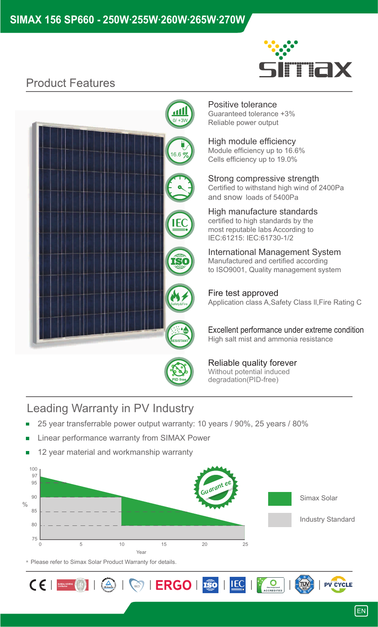

# **Product Features**



# Positive tolerance

Guaranteed tolerance +3% Reliable power output

High module efficiency Module efficiency up to 16.6% Cells efficiency up to 19.0%

Strong compressive strength Certified to withstand high wind of 2400Pa and snow loads of 5400Pa

High manufacture standards certified to high standards by the most reputable labs According to IEC:61215: IEC:61730-1/2

International Management System Manufactured and certified according to ISO9001, Quality management system

Application class A,Safety Class ll,Fire Rating C Fire test approved

Excellent performance under extreme condition High salt mist and ammonia resistance



Reliable quality forever Without potential induced degradation(PID-free)

 $\overline{\mathbf{O}}$ 

 $TUV$ 

**IEC** 

## Leading Warranty in PV Industry

- 25 year transferrable power output warranty: 10 years / 90%, 25 years / 80%
- Linear performance warranty from SIMAX Power
- 12 year material and workmanship warranty



\* Please refer to Simax Solar Product Warranty for details.

 $C \in \left[ \begin{array}{c|c} \text{max} & \text{min} \end{array} \right] \mid \text{min} \ \text{max} \ \text{max} \ \text{max} \ \text{max} \ \text{max} \ \text{max} \ \text{max} \ \text{max} \ \text{max} \ \text{max} \ \text{max} \ \text{max} \ \text{max} \ \text{max} \ \text{max} \ \text{max} \ \text{max} \ \text{max} \ \text{max} \ \text{max} \ \text{max} \ \text{max} \ \text{max} \ \text{max} \ \text{max} \ \text{max} \ \text{max} \ \text{max} \ \text{max} \ \text{max$ 

**PV CYCLE**